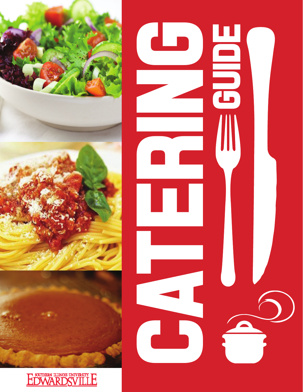



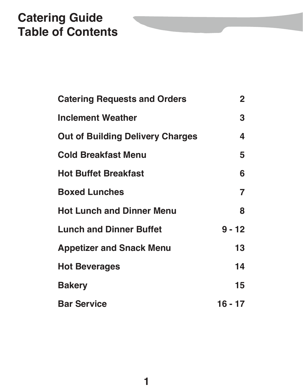# **Catering Guide Table of Contents**

| <b>Catering Requests and Orders</b>     | $\mathbf{2}$ |
|-----------------------------------------|--------------|
| <b>Inclement Weather</b>                | 3            |
| <b>Out of Building Delivery Charges</b> | 4            |
| <b>Cold Breakfast Menu</b>              | 5            |
| <b>Hot Buffet Breakfast</b>             | 6            |
| <b>Boxed Lunches</b>                    | 7            |
| <b>Hot Lunch and Dinner Menu</b>        | 8            |
| <b>Lunch and Dinner Buffet</b>          | $9 - 12$     |
| <b>Appetizer and Snack Menu</b>         | 13           |
| <b>Hot Beverages</b>                    | 14           |
| <b>Bakery</b>                           | 15           |
| <b>Bar Service</b>                      | 16 - 17      |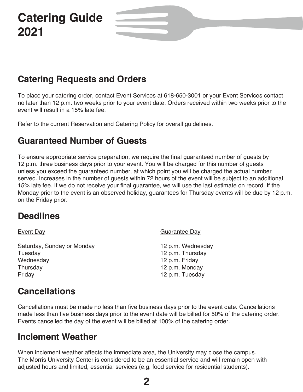# **Catering Guide 2021**

## **Catering Requests and Orders**

To place your catering order, contact Event Services at 618-650-3001 or your Event Services contact no later than 12 p.m. two weeks prior to your event date. Orders received within two weeks prior to the event will result in a 15% late fee.

Refer to the current Reservation and Catering Policy for overall guidelines.

### **Guaranteed Number of Guests**

To ensure appropriate service preparation, we require the final guaranteed number of guests by 12 p.m. three business days prior to your event. You will be charged for this number of guests unless you exceed the guaranteed number, at which point you will be charged the actual number served. Increases in the number of guests within 72 hours of the event will be subject to an additional 15% late fee. If we do not receive your final guarantee, we will use the last estimate on record. If the Monday prior to the event is an observed holiday, guarantees for Thursday events will be due by 12 p.m. on the Friday prior.

### **Deadlines**

Event Day **Guarantee Day** Saturday, Sunday or Monday 12 p.m. Wednesday<br>Tuesday 12 p.m. Thursday 12 p.m. Thursday Wednesday 12 p.m. Friday Thursday 12 p.m. Monday Friday 12 p.m. Tuesday

## **Cancellations**

Cancellations must be made no less than five business days prior to the event date. Cancellations made less than five business days prior to the event date will be billed for 50% of the catering order. Events cancelled the day of the event will be billed at 100% of the catering order.

### **Inclement Weather**

When inclement weather affects the immediate area, the University may close the campus. The Morris University Center is considered to be an essential service and will remain open with adjusted hours and limited, essential services (e.g. food service for residential students).

**2**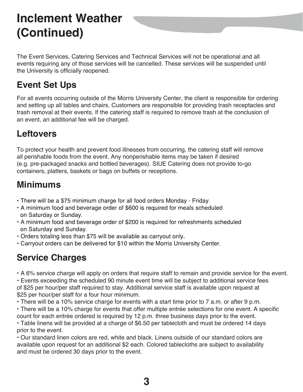# **Inclement Weather (Continued)**

The Event Services, Catering Services and Technical Services will not be operational and all events requiring any of those services will be cancelled. These services will be suspended until the University is officially reopened.

## **Event Set Ups**

For all events occurring outside of the Morris University Center, the client is responsible for ordering and setting up all tables and chairs. Customers are responsible for providing trash receptacles and trash removal at their events. If the catering staff is required to remove trash at the conclusion of an event, an additional fee will be charged.

### **Leftovers**

To protect your health and prevent food illnesses from occurring, the catering staff will remove all perishable foods from the event. Any nonperishable items may be taken if desired (e.g. pre-packaged snacks and bottled beverages). SIUE Catering does not provide to-go containers, platters, baskets or bags on buffets or receptions.

## **Minimums**

- There will be a \$75 minimum charge for all food orders Monday Friday.
- A minimum food and beverage order of \$600 is required for meals scheduled on Saturday or Sunday.
- A minimum food and beverage order of \$200 is required for refreshments scheduled on Saturday and Sunday.
- Orders totaling less than \$75 will be available as carryout only.
- Carryout orders can be delivered for \$10 within the Morris University Center.

## **Service Charges**

• A 6% service charge will apply on orders that require staff to remain and provide service for the event.

 • Events exceeding the scheduled 90 minute event time will be subject to additional service fees of \$25 per hour/per staff required to stay. Additional service staff is available upon request at \$25 per hour/per staff for a four hour minimum.

- There will be a 10% service charge for events with a start time prior to 7 a.m. or after 9 p.m.
- There will be a 10% charge for events that offer multiple entrée selections for one event. A specific count for each entrée ordered is required by 12 p.m. three business days prior to the event.
- Table linens will be provided at a charge of \$6.50 per tablecloth and must be ordered 14 days prior to the event.

 • Our standard linen colors are red, white and black. Linens outside of our standard colors are available upon request for an additional \$2 each. Colored tablecloths are subject to availability and must be ordered 30 days prior to the event.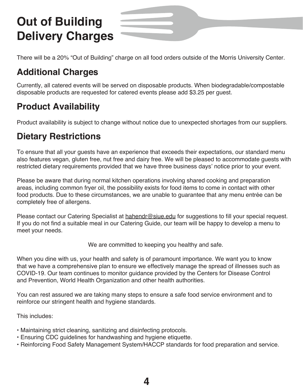# **Out of Building Delivery Charges**

There will be a 20% "Out of Building" charge on all food orders outside of the Morris University Center.

## **Additional Charges**

Currently, all catered events will be served on disposable products. When biodegradable/compostable disposable products are requested for catered events please add \$3.25 per guest.

## **Product Availability**

Product availability is subject to change without notice due to unexpected shortages from our suppliers.

## **Dietary Restrictions**

To ensure that all your guests have an experience that exceeds their expectations, our standard menu also features vegan, gluten free, nut free and dairy free. We will be pleased to accommodate guests with restricted dietary requirements provided that we have three business days' notice prior to your event.

Please be aware that during normal kitchen operations involving shared cooking and preparation areas, including common fryer oil, the possibility exists for food items to come in contact with other food products. Due to these circumstances, we are unable to guarantee that any menu entrée can be completely free of allergens.

Please contact our Catering Specialist at hahendr@siue.edu for suggestions to fill your special request. If you do not find a suitable meal in our Catering Guide, our team will be happy to develop a menu to meet your needs.

We are committed to keeping you healthy and safe.

When you dine with us, your health and safety is of paramount importance. We want you to know that we have a comprehensive plan to ensure we effectively manage the spread of illnesses such as COVID-19. Our team continues to monitor guidance provided by the Centers for Disease Control and Prevention, World Health Organization and other health authorities.

You can rest assured we are taking many steps to ensure a safe food service environment and to reinforce our stringent health and hygiene standards.

This includes:

- Maintaining strict cleaning, sanitizing and disinfecting protocols.
- Ensuring CDC guidelines for handwashing and hygiene etiquette.
- Reinforcing Food Safety Management System/HACCP standards for food preparation and service.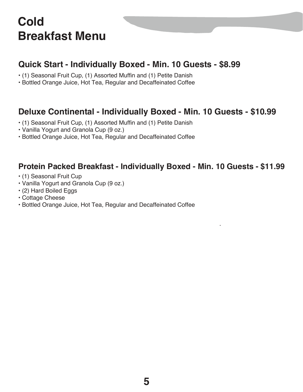# **Cold Breakfast Menu**

### **Quick Start - Individually Boxed - Min. 10 Guests - \$8.99**

- (1) Seasonal Fruit Cup, (1) Assorted Muffin and (1) Petite Danish
- Bottled Orange Juice, Hot Tea, Regular and Decaffeinated Coffee

### **Deluxe Continental - Individually Boxed - Min. 10 Guests - \$10.99**

- (1) Seasonal Fruit Cup, (1) Assorted Muffin and (1) Petite Danish
- Vanilla Yogurt and Granola Cup (9 oz.)
- Bottled Orange Juice, Hot Tea, Regular and Decaffeinated Coffee

### **Protein Packed Breakfast - Individually Boxed - Min. 10 Guests - \$11.99**

- (1) Seasonal Fruit Cup
- Vanilla Yogurt and Granola Cup (9 oz.)
- (2) Hard Boiled Eggs
- Cottage Cheese
- Bottled Orange Juice, Hot Tea, Regular and Decaffeinated Coffee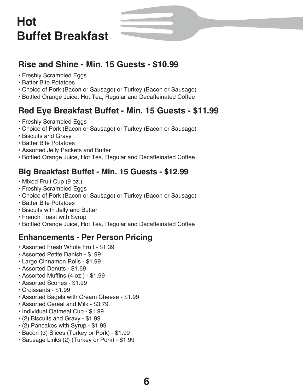# **Hot Buffet Breakfast**

### **Rise and Shine - Min. 15 Guests - \$10.99**

- Freshly Scrambled Eggs
- Batter Bite Potatoes
- Choice of Pork (Bacon or Sausage) or Turkey (Bacon or Sausage)
- Bottled Orange Juice, Hot Tea, Regular and Decaffeinated Coffee

### **Red Eye Breakfast Buffet - Min. 15 Guests - \$11.99**

- Freshly Scrambled Eggs
- Choice of Pork (Bacon or Sausage) or Turkey (Bacon or Sausage)
- Biscuits and Gravy
- Batter Bite Potatoes
- Assorted Jelly Packets and Butter
- Bottled Orange Juice, Hot Tea, Regular and Decaffeinated Coffee

### **Big Breakfast Buffet - Min. 15 Guests - \$12.99**

- Mixed Fruit Cup (9 oz.)
- Freshly Scrambled Eggs
- Choice of Pork (Bacon or Sausage) or Turkey (Bacon or Sausage)
- Batter Bite Potatoes
- Biscuits with Jelly and Butter
- French Toast with Syrup
- Bottled Orange Juice, Hot Tea, Regular and Decaffeinated Coffee

### **Enhancements - Per Person Pricing**

- Assorted Fresh Whole Fruit \$1.39
- Assorted Petite Danish \$ .99
- Large Cinnamon Rolls \$1.99
- Assorted Donuts \$1.69
- Assorted Muffins (4 oz.) \$1.99
- Assorted Scones \$1.99
- Croissants \$1.99
- Assorted Bagels with Cream Cheese \$1.99
- Assorted Cereal and Milk \$3.79
- Individual Oatmeal Cup \$1.99
- (2) Biscuits and Gravy \$1.99
- (2) Pancakes with Syrup \$1.99
- Bacon (3) Slices (Turkey or Pork) \$1.99
- Sausage Links (2) (Turkey or Pork) \$1.99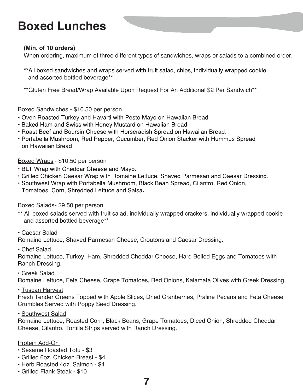# **Boxed Lunches**

#### **(Min. of 10 orders)**

When ordering, maximum of three different types of sandwiches, wraps or salads to a combined order.

- \*\*All boxed sandwiches and wraps served with fruit salad, chips, individually wrapped cookie and assorted bottled beverage\*\*
- \*\*Gluten Free Bread/Wrap Available Upon Request For An Additional \$2 Per Sandwich\*\*

#### Boxed Sandwiches - \$10.50 per person

- . Oven Roasted Turkey and Havarti with Pesto Mayo on Hawaiian Bread.
- Baked Ham and Swiss with Honey Mustard on Hawaiian Bread.
- Roast Beef and Boursin Cheese with Horseradish Spread on Hawaiian Bread.
- Portabella Mushroom, Red Pepper, Cucumber, Red Onion Stacker with Hummus Spread on Hawaiian Bread.

#### Boxed Wraps - \$10.50 per person

- . BLT Wrap with Cheddar Cheese and Mayo.
- Grilled Chicken Caesar Wrap with Romaine Lettuce, Shaved Parmesan and Caesar Dressing.
- Southwest Wrap with Portabella Mushroom, Black Bean Spread, Cilantro, Red Onion, Tomatoes, Corn, Shredded Lettuce and Salsa.

#### Boxed Salads - \$9.50 per person

- \*\* All boxed salads served with fruit salad, individually wrapped crackers, individually wrapped cookie and assorted bottled beverage\*\*
- Caesar Salad

Romaine Lettuce, Shaved Parmesan Cheese, Croutons and Caesar Dressing.

• Chef Salad

Romaine Lettuce, Turkey, Ham, Shredded Cheddar Cheese, Hard Boiled Eggs and Tomatoes with Ranch Dressing.

• Greek Salad

Romaine Lettuce, Feta Cheese, Grape Tomatoes, Red Onions, Kalamata Olives with Greek Dressing.

• Tuscan Harvest

Fresh Tender Greens Topped with Apple Slices, Dried Cranberries, Praline Pecans and Feta Cheese Crumbles Served with Poppy Seed Dressing.

• Southwest Salad

Romaine Lettuce, Roasted Corn, Black Beans, Grape Tomatoes, Diced Onion, Shredded Cheddar Cheese, Cilantro, Tortilla Strips served with Ranch Dressing.

#### Protein Add-On

- Sesame Roasted Tofu \$3
- Grilled 6oz. Chicken Breast \$4
- Herb Roasted 4oz. Salmon \$4
- Grilled Flank Steak \$10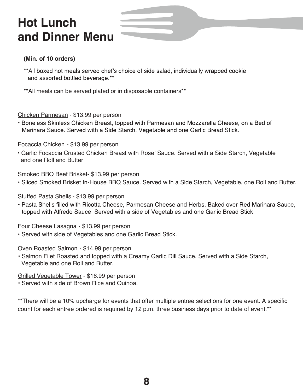# **Hot Lunch and Dinner Menu**

#### **(Min. of 10 orders)**

- \*\*All boxed hot meals served chef's choice of side salad, individually wrapped cookie and assorted bottled beverage.\*\*
- \*\*All meals can be served plated or in disposable containers\*\*

Chicken Parmesan - \$13.99 per person

• Boneless Skinless Chicken Breast, topped with Parmesan and Mozzarella Cheese, on a Bed of Marinara Sauce. Served with a Side Starch, Vegetable and one Garlic Bread Stick.

Focaccia Chicken - \$13.99 per person

• Garlic Focaccia Crusted Chicken Breast with Rose' Sauce. Served with a Side Starch, Vegetable and one Roll and Butter

Smoked BBQ Beef Brisket-\$13.99 per person

• Sliced Smoked Brisket In-House BBQ Sauce. Served with a Side Starch, Vegetable, one Roll and Butter.

Stuffed Pasta Shells - \$13.99 per person

• Pasta Shells filled with Ricotta Cheese, Parmesan Cheese and Herbs, Baked over Red Marinara Sauce, topped with Alfredo Sauce. Served with a side of Vegetables and one Garlic Bread Stick.

Four Cheese Lasagna - \$13.99 per person

• Served with side of Vegetables and one Garlic Bread Stick.

#### Oven Roasted Salmon - \$14.99 per person

• Salmon Filet Roasted and topped with a Creamy Garlic Dill Sauce. Served with a Side Starch, Vegetable and one Roll and Butter.

Grilled Vegetable Tower - \$16.99 per person

• Served with side of Brown Rice and Quinoa.

\*\*There will be a 10% upcharge for events that offer multiple entree selections for one event. A specific count for each entree ordered is required by 12 p.m. three business days prior to date of event.\*\*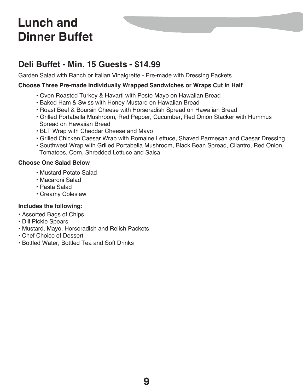### **Deli Buffet - Min. 15 Guests - \$14.99**

Garden Salad with Ranch or Italian Vinaigrette - Pre-made with Dressing Packets

#### **Choose Three Pre-made Individually Wrapped Sandwiches or Wraps Cut in Half**

- Oven Roasted Turkey & Havarti with Pesto Mayo on Hawaiian Bread
- Baked Ham & Swiss with Honey Mustard on Hawaiian Bread
- Roast Beef & Boursin Cheese with Horseradish Spread on Hawaiian Bread
- Grilled Portabella Mushroom, Red Pepper, Cucumber, Red Onion Stacker with Hummus Spread on Hawaiian Bread
- BLT Wrap with Cheddar Cheese and Mayo
- Grilled Chicken Caesar Wrap with Romaine Lettuce, Shaved Parmesan and Caesar Dressing
- Southwest Wrap with Grilled Portabella Mushroom, Black Bean Spread, Cilantro, Red Onion, Tomatoes, Corn, Shredded Lettuce and Salsa.

#### **Choose One Salad Below**

- Mustard Potato Salad
- Macaroni Salad
- Pasta Salad
- Creamy Coleslaw

#### **Includes the following:**

- Assorted Bags of Chips
- Dill Pickle Spears
- Mustard, Mayo, Horseradish and Relish Packets
- Chef Choice of Dessert
- Bottled Water, Bottled Tea and Soft Drinks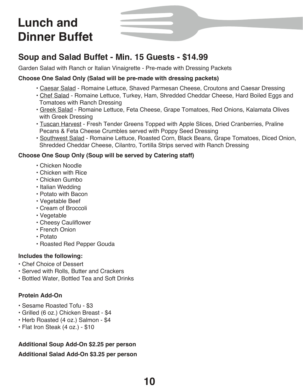### **Soup and Salad Buffet - Min. 15 Guests - \$14.99**

Garden Salad with Ranch or Italian Vinaigrette - Pre-made with Dressing Packets

#### **Choose One Salad Only (Salad will be pre-made with dressing packets)**

- Caesar Salad Romaine Lettuce, Shaved Parmesan Cheese, Croutons and Caesar Dressing
- Chef Salad Romaine Lettuce, Turkey, Ham, Shredded Cheddar Cheese, Hard Boiled Eggs and Tomatoes with Ranch Dressing
- Greek Salad Romaine Lettuce, Feta Cheese, Grape Tomatoes, Red Onions, Kalamata Olives with Greek Dressing
- Tuscan Harvest Fresh Tender Greens Topped with Apple Slices, Dried Cranberries, Praline Pecans & Feta Cheese Crumbles served with Poppy Seed Dressing
- Southwest Salad Romaine Lettuce, Roasted Corn, Black Beans, Grape Tomatoes, Diced Onion, Shredded Cheddar Cheese, Cilantro, Tortilla Strips served with Ranch Dressing

#### **Choose One Soup Only (Soup will be served by Catering staff)**

- Chicken Noodle
- Chicken with Rice
- Chicken Gumbo
- Italian Wedding
- Potato with Bacon
- Vegetable Beef
- Cream of Broccoli
- Vegetable
- Cheesy Cauliflower
- French Onion
- Potato
- Roasted Red Pepper Gouda

#### **Includes the following:**

- Chef Choice of Dessert
- Served with Rolls, Butter and Crackers
- Bottled Water, Bottled Tea and Soft Drinks

#### **Protein Add-On**

- Sesame Roasted Tofu \$3
- Grilled (6 oz.) Chicken Breast \$4
- Herb Roasted (4 oz.) Salmon \$4
- Flat Iron Steak (4 oz.) \$10

#### **Additional Soup Add-On \$2.25 per person**

**Additional Salad Add-On \$3.25 per person**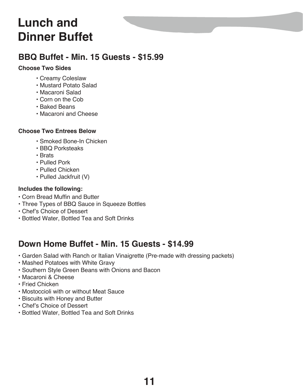### **BBQ Buffet - Min. 15 Guests - \$15.99**

#### **Choose Two Sides**

- Creamy Coleslaw
- Mustard Potato Salad
- Macaroni Salad
- Corn on the Cob
- Baked Beans
- Macaroni and Cheese

#### **Choose Two Entrees Below**

- Smoked Bone-In Chicken
- BBQ Porksteaks
- Brats
- Pulled Pork
- Pulled Chicken
- Pulled Jackfruit (V)

#### **Includes the following:**

- Corn Bread Muffin and Butter
- Three Types of BBQ Sauce in Squeeze Bottles
- Chef's Choice of Dessert
- Bottled Water, Bottled Tea and Soft Drinks

### **Down Home Buffet - Min. 15 Guests - \$14.99**

- Garden Salad with Ranch or Italian Vinaigrette (Pre-made with dressing packets)
- Mashed Potatoes with White Gravy
- Southern Style Green Beans with Onions and Bacon
- Macaroni & Cheese
- Fried Chicken
- Mostoccioli with or without Meat Sauce
- Biscuits with Honey and Butter
- Chef's Choice of Dessert
- Bottled Water, Bottled Tea and Soft Drinks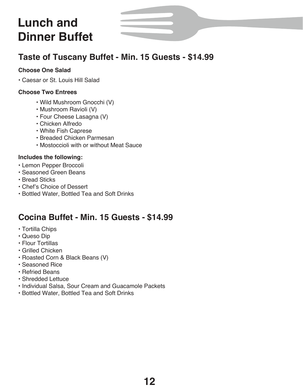### **Taste of Tuscany Buffet - Min. 15 Guests - \$14.99**

#### **Choose One Salad**

• Caesar or St. Louis Hill Salad

#### **Choose Two Entrees**

- Wild Mushroom Gnocchi (V)
- Mushroom Ravioli (V)
- Four Cheese Lasagna (V)
- Chicken Alfredo
- White Fish Caprese
- Breaded Chicken Parmesan
- Mostoccioli with or without Meat Sauce

#### **Includes the following:**

- Lemon Pepper Broccoli
- Seasoned Green Beans
- Bread Sticks
- Chef's Choice of Dessert
- Bottled Water, Bottled Tea and Soft Drinks

### **Cocina Buffet - Min. 15 Guests - \$14.99**

- Tortilla Chips
- Queso Dip
- Flour Tortillas
- Grilled Chicken
- Roasted Corn & Black Beans (V)
- Seasoned Rice
- Refried Beans
- Shredded Lettuce
- Individual Salsa, Sour Cream and Guacamole Packets
- Bottled Water, Bottled Tea and Soft Drinks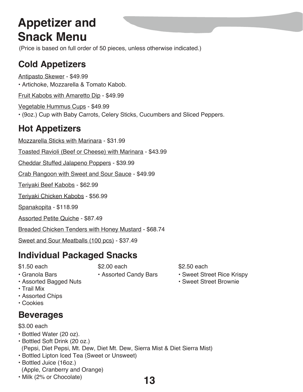# **Appetizer and Snack Menu**

(Price is based on full order of 50 pieces, unless otherwise indicated.)

## **Cold Appetizers**

Antipasto Skewer - \$49.99 • Artichoke, Mozzarella & Tomato Kabob. Fruit Kabobs with Amaretto Dip - \$49.99 Vegetable Hummus Cups - \$49.99 • (9oz.) Cup with Baby Carrots, Celery Sticks, Cucumbers and Sliced Peppers. **Hot Appetizers** Mozzarella Sticks with Marinara - \$31.99 Toasted Ravioli (Beef or Cheese) with Marinara - \$43.99 Cheddar Stuffed Jalapeno Poppers - \$39.99 Crab Rangoon with Sweet and Sour Sauce - \$49.99 Teriyaki Beef Kabobs - \$62.99 Teriyaki Chicken Kabobs - \$56.99 Spanakopita - \$118.99 Assorted Petite Quiche - \$87.49 Breaded Chicken Tenders with Honey Mustard - \$68.74

Sweet and Sour Meatballs (100 pcs) - \$37.49

## **Individual Packaged Snacks**

\$1.50 each

\$2.00 each

- Granola Bars
- Assorted Bagged Nuts
- Trail Mix
- Assorted Chips
- Cookies

## **Beverages**

- \$3.00 each
- Bottled Water (20 oz).
- Bottled Soft Drink (20 oz.) (Pepsi, Diet Pepsi, Mt. Dew, Diet Mt. Dew, Sierra Mist & Diet Sierra Mist)
- Bottled Lipton Iced Tea (Sweet or Unsweet)
- Bottled Juice (16oz.) (Apple, Cranberry and Orange)
- Milk (2% or Chocolate)
- Assorted Candy Bars
- \$2.50 each
- Sweet Street Rice Krispy
- Sweet Street Brownie

**13**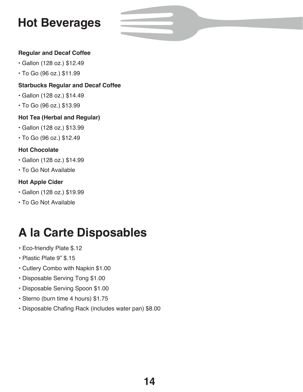# **Hot Beverages**

#### **Regular and Decaf Coffee**

- Gallon (128 oz.) \$12.49
- To Go (96 oz.) \$11.99

#### **Starbucks Regular and Decaf Coffee**

- Gallon (128 oz.) \$14.49
- To Go (96 oz.) \$13.99

#### **Hot Tea (Herbal and Regular)**

- Gallon (128 oz.) \$13.99
- To Go (96 oz.) \$12.49

#### **Hot Chocolate**

- Gallon (128 oz.) \$14.99
- To Go Not Available

#### **Hot Apple Cider**

- Gallon (128 oz.) \$19.99
- To Go Not Available

# **A la Carte Disposables**

- Eco-friendly Plate \$.12
- Plastic Plate 9" \$.15
- Cutlery Combo with Napkin \$1.00
- Disposable Serving Tong \$1.00
- Disposable Serving Spoon \$1.00
- Sterno (burn time 4 hours) \$1.75
- Disposable Chafing Rack (includes water pan) \$8.00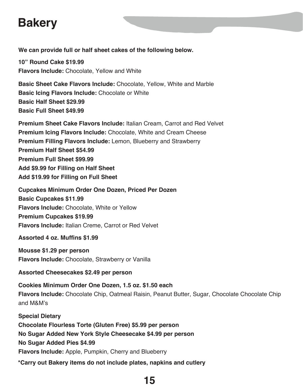# **Bakery**

**We can provide full or half sheet cakes of the following below.**

**10" Round Cake \$19.99 Flavors Include:** Chocolate, Yellow and White

**Basic Sheet Cake Flavors Include:** Chocolate, Yellow, White and Marble **Basic Icing Flavors Include:** Chocolate or White **Basic Half Sheet \$29.99 Basic Full Sheet \$49.99**

**Premium Sheet Cake Flavors Include:** Italian Cream, Carrot and Red Velvet **Premium Icing Flavors Include:** Chocolate, White and Cream Cheese **Premium Filling Flavors Include:** Lemon, Blueberry and Strawberry **Premium Half Sheet \$54.99 Premium Full Sheet \$99.99 Add \$9.99 for Filling on Half Sheet Add \$19.99 for Filling on Full Sheet**

**Cupcakes Minimum Order One Dozen, Priced Per Dozen Basic Cupcakes \$11.99 Flavors Include:** Chocolate, White or Yellow **Premium Cupcakes \$19.99 Flavors Include:** Italian Creme, Carrot or Red Velvet

**Assorted 4 oz. Muffins \$1.99**

**Mousse \$1.29 per person Flavors Include:** Chocolate, Strawberry or Vanilla

**Assorted Cheesecakes \$2.49 per person**

**Cookies Minimum Order One Dozen, 1.5 oz. \$1.50 each Flavors Include:** Chocolate Chip, Oatmeal Raisin, Peanut Butter, Sugar, Chocolate Chocolate Chip and M&M's

**Special Dietary Chocolate Flourless Torte (Gluten Free) \$5.99 per person No Sugar Added New York Style Cheesecake \$4.99 per person No Sugar Added Pies \$4.99 Flavors Include:** Apple, Pumpkin, Cherry and Blueberry **\*Carry out Bakery items do not include plates, napkins and cutlery**

## **15**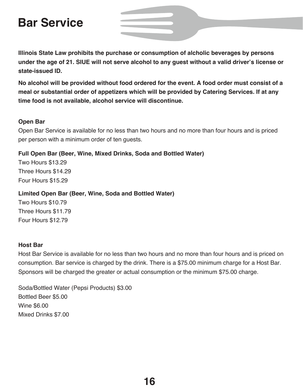## **Bar Service**

**Illinois State Law prohibits the purchase or consumption of alcholic beverages by persons** under the age of 21. SIUE will not serve alcohol to any guest without a valid driver's license or **state-issued ID.**

**No alcohol will be provided without food ordered for the event. A food order must consist of a meal or substantial order of appetizers which will be provided by Catering Services. If at any time food is not available, alcohol service will discontinue.**

#### **Open Bar**

Open Bar Service is available for no less than two hours and no more than four hours and is priced per person with a minimum order of ten guests.

#### **Full Open Bar (Beer, Wine, Mixed Drinks, Soda and Bottled Water)**

Two Hours \$13.29 Three Hours \$14.29 Four Hours \$15.29

#### **Limited Open Bar (Beer, Wine, Soda and Bottled Water)**

Two Hours \$10.79 Three Hours \$11.79 Four Hours \$12.79

#### **Host Bar**

Host Bar Service is available for no less than two hours and no more than four hours and is priced on consumption. Bar service is charged by the drink. There is a \$75.00 minimum charge for a Host Bar. Sponsors will be charged the greater or actual consumption or the minimum \$75.00 charge.

Soda/Bottled Water (Pepsi Products) \$3.00 Bottled Beer \$5.00 Wine \$6.00 Mixed Drinks \$7.00